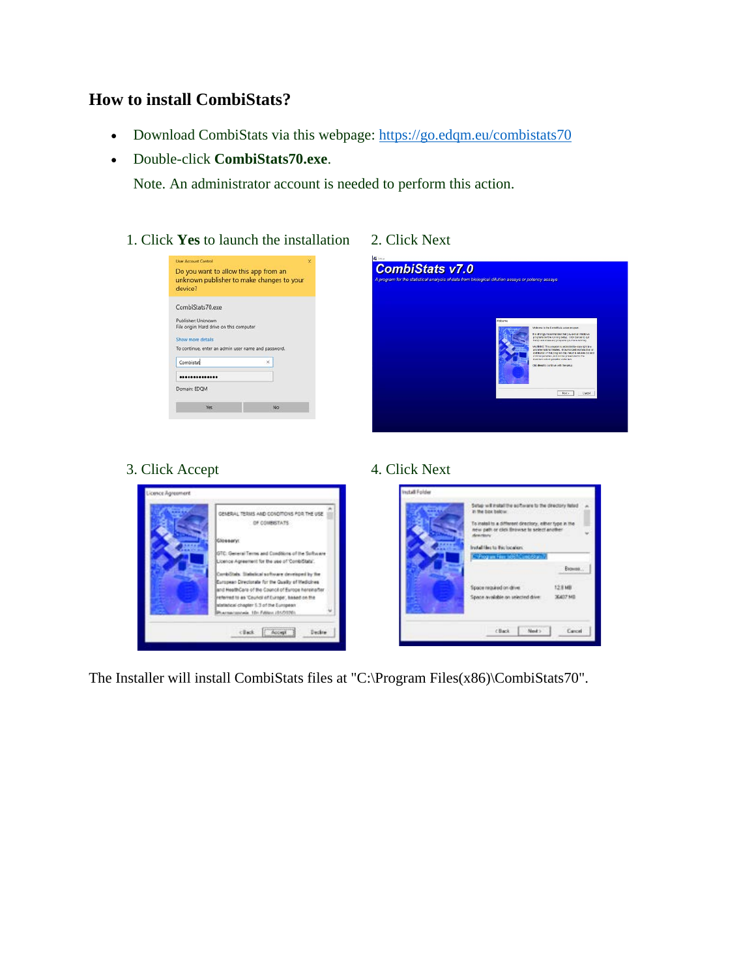# **How to install CombiStats?**

- Download CombiStats via this webpage:<https://go.edqm.eu/combistats70>
- Double-click **CombiStats70.exe**.

Note. An administrator account is needed to perform this action.

1. Click **Yes** to launch the installation 2. Click Next

| device?                                                                      | unknown publisher to make changes to your |
|------------------------------------------------------------------------------|-------------------------------------------|
| CombiStats70.exe                                                             |                                           |
| Publisher: Unknown                                                           |                                           |
| File origin: Hard drive on this computer                                     |                                           |
|                                                                              |                                           |
|                                                                              |                                           |
|                                                                              |                                           |
| Combistat                                                                    | $\times$                                  |
| Show more details<br>To continue, enter an admin user name and password.<br> |                                           |
| Domain: EDOM                                                                 |                                           |
|                                                                              |                                           |



# 3. Click Accept 4. Click Next



The Installer will install CombiStats files at "C:\Program Files(x86)\CombiStats70".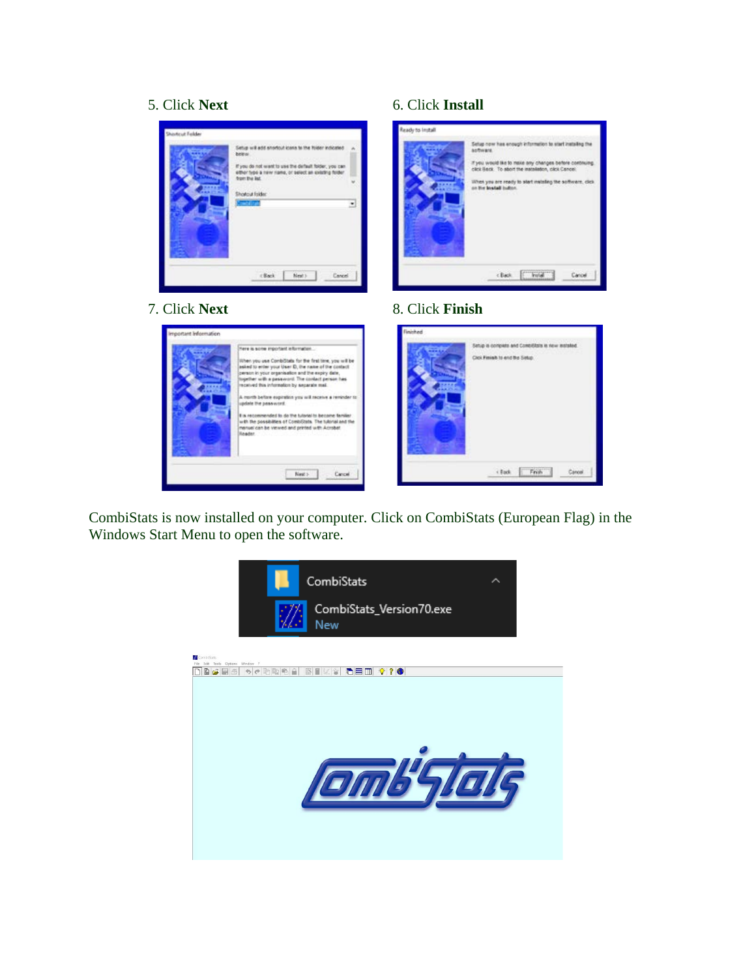



### 5. Click **Next** 6. Click **Install**



# 7. Click **Next** 8. Click **Finish**



CombiStats is now installed on your computer. Click on CombiStats (European Flag) in the Windows Start Menu to open the software.